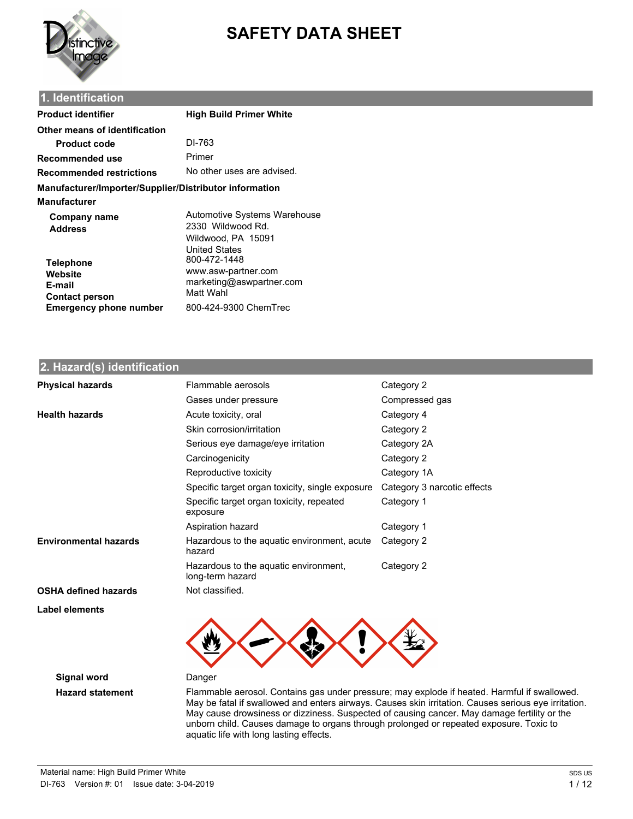

# **SAFETY DATA SHEET**

### **1. Identification**

| Product identifier                                                     | <b>High Build Primer White</b>                                                                  |
|------------------------------------------------------------------------|-------------------------------------------------------------------------------------------------|
| Other means of identification                                          |                                                                                                 |
| <b>Product code</b>                                                    | DI-763                                                                                          |
| Recommended use                                                        | Primer                                                                                          |
| Recommended restrictions                                               | No other uses are advised.                                                                      |
| Manufacturer/Importer/Supplier/Distributor information<br>Manufacturer |                                                                                                 |
| Company name<br><b>Address</b>                                         | Automotive Systems Warehouse<br>2330 Wildwood Rd.<br>Wildwood, PA 15091<br><b>United States</b> |
| <b>Telephone</b><br>Website<br>E-mail<br><b>Contact person</b>         | 800-472-1448<br>www.asw-partner.com<br>marketing@aswpartner.com<br>Matt Wahl                    |
| <b>Emergency phone number</b>                                          | 800-424-9300 ChemTrec                                                                           |

#### **2. Hazard(s) identification**

| <b>Physical hazards</b>      | Flammable aerosols                                        | Category 2                  |
|------------------------------|-----------------------------------------------------------|-----------------------------|
|                              | Gases under pressure                                      | Compressed gas              |
| <b>Health hazards</b>        | Acute toxicity, oral                                      | Category 4                  |
|                              | Skin corrosion/irritation                                 | Category 2                  |
|                              | Serious eye damage/eye irritation                         | Category 2A                 |
|                              | Carcinogenicity                                           | Category 2                  |
|                              | Reproductive toxicity                                     | Category 1A                 |
|                              | Specific target organ toxicity, single exposure           | Category 3 narcotic effects |
|                              | Specific target organ toxicity, repeated<br>exposure      | Category 1                  |
|                              | Aspiration hazard                                         | Category 1                  |
| <b>Environmental hazards</b> | Hazardous to the aquatic environment, acute<br>hazard     | Category 2                  |
|                              | Hazardous to the aquatic environment,<br>long-term hazard | Category 2                  |
| <b>OSHA defined hazards</b>  | Not classified.                                           |                             |
| Label elements               |                                                           |                             |



**Signal word** Danger

**Hazard statement** Flammable aerosol. Contains gas under pressure; may explode if heated. Harmful if swallowed. May be fatal if swallowed and enters airways. Causes skin irritation. Causes serious eye irritation. May cause drowsiness or dizziness. Suspected of causing cancer. May damage fertility or the unborn child. Causes damage to organs through prolonged or repeated exposure. Toxic to aquatic life with long lasting effects.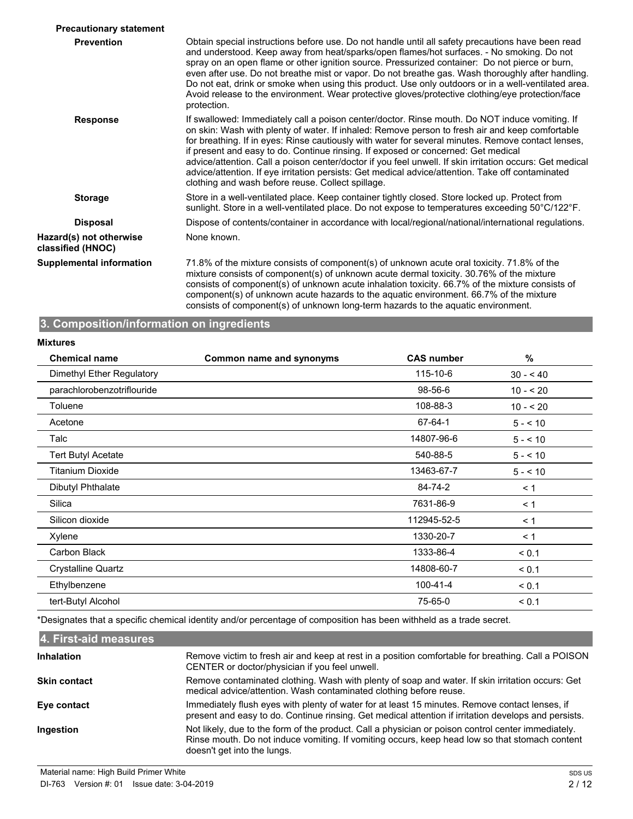| <b>Precautionary statement</b>               |                                                                                                                                                                                                                                                                                                                                                                                                                                                                                                                                                                                                                                                                    |
|----------------------------------------------|--------------------------------------------------------------------------------------------------------------------------------------------------------------------------------------------------------------------------------------------------------------------------------------------------------------------------------------------------------------------------------------------------------------------------------------------------------------------------------------------------------------------------------------------------------------------------------------------------------------------------------------------------------------------|
| <b>Prevention</b>                            | Obtain special instructions before use. Do not handle until all safety precautions have been read<br>and understood. Keep away from heat/sparks/open flames/hot surfaces. - No smoking. Do not<br>spray on an open flame or other ignition source. Pressurized container: Do not pierce or burn,<br>even after use. Do not breathe mist or vapor. Do not breathe gas. Wash thoroughly after handling.<br>Do not eat, drink or smoke when using this product. Use only outdoors or in a well-ventilated area.<br>Avoid release to the environment. Wear protective gloves/protective clothing/eye protection/face<br>protection.                                    |
| <b>Response</b>                              | If swallowed: Immediately call a poison center/doctor. Rinse mouth. Do NOT induce vomiting. If<br>on skin: Wash with plenty of water. If inhaled: Remove person to fresh air and keep comfortable<br>for breathing. If in eyes: Rinse cautiously with water for several minutes. Remove contact lenses,<br>if present and easy to do. Continue rinsing. If exposed or concerned: Get medical<br>advice/attention. Call a poison center/doctor if you feel unwell. If skin irritation occurs: Get medical<br>advice/attention. If eye irritation persists: Get medical advice/attention. Take off contaminated<br>clothing and wash before reuse. Collect spillage. |
| <b>Storage</b>                               | Store in a well-ventilated place. Keep container tightly closed. Store locked up. Protect from<br>sunlight. Store in a well-ventilated place. Do not expose to temperatures exceeding 50°C/122°F.                                                                                                                                                                                                                                                                                                                                                                                                                                                                  |
| <b>Disposal</b>                              | Dispose of contents/container in accordance with local/regional/national/international regulations.                                                                                                                                                                                                                                                                                                                                                                                                                                                                                                                                                                |
| Hazard(s) not otherwise<br>classified (HNOC) | None known.                                                                                                                                                                                                                                                                                                                                                                                                                                                                                                                                                                                                                                                        |
| <b>Supplemental information</b>              | 71.8% of the mixture consists of component(s) of unknown acute oral toxicity. 71.8% of the<br>mixture consists of component(s) of unknown acute dermal toxicity. 30.76% of the mixture<br>consists of component(s) of unknown acute inhalation toxicity. 66.7% of the mixture consists of<br>component(s) of unknown acute hazards to the aquatic environment. 66.7% of the mixture<br>consists of component(s) of unknown long-term hazards to the aquatic environment.                                                                                                                                                                                           |

# **3. Composition/information on ingredients**

#### **Mixtures**

| <b>Chemical name</b>       | <b>Common name and synonyms</b> | <b>CAS number</b> | %          |
|----------------------------|---------------------------------|-------------------|------------|
| Dimethyl Ether Regulatory  |                                 | 115-10-6          | $30 - 40$  |
| parachlorobenzotriflouride |                                 | 98-56-6           | $10 - 520$ |
| Toluene                    |                                 | 108-88-3          | $10 - 20$  |
| Acetone                    |                                 | 67-64-1           | $5 - 10$   |
| Talc                       |                                 | 14807-96-6        | $5 - 10$   |
| <b>Tert Butyl Acetate</b>  |                                 | 540-88-5          | $5 - 10$   |
| <b>Titanium Dioxide</b>    |                                 | 13463-67-7        | $5 - 10$   |
| Dibutyl Phthalate          |                                 | 84-74-2           | < 1        |
| Silica                     |                                 | 7631-86-9         | $\leq$ 1   |
| Silicon dioxide            |                                 | 112945-52-5       | $\leq 1$   |
| Xylene                     |                                 | 1330-20-7         | $\leq$ 1   |
| Carbon Black               |                                 | 1333-86-4         | < 0.1      |
| <b>Crystalline Quartz</b>  |                                 | 14808-60-7        | < 0.1      |
| Ethylbenzene               |                                 | $100 - 41 - 4$    | < 0.1      |
| tert-Butyl Alcohol         |                                 | 75-65-0           | < 0.1      |
|                            |                                 |                   |            |

\*Designates that a specific chemical identity and/or percentage of composition has been withheld as a trade secret.

| Remove victim to fresh air and keep at rest in a position comfortable for breathing. Call a POISON<br>CENTER or doctor/physician if you feel unwell.                                                                                |
|-------------------------------------------------------------------------------------------------------------------------------------------------------------------------------------------------------------------------------------|
| Remove contaminated clothing. Wash with plenty of soap and water. If skin irritation occurs: Get<br>medical advice/attention. Wash contaminated clothing before reuse.                                                              |
| Immediately flush eyes with plenty of water for at least 15 minutes. Remove contact lenses, if<br>present and easy to do. Continue rinsing. Get medical attention if irritation develops and persists.                              |
| Not likely, due to the form of the product. Call a physician or poison control center immediately.<br>Rinse mouth. Do not induce vomiting. If vomiting occurs, keep head low so that stomach content<br>doesn't get into the lungs. |
|                                                                                                                                                                                                                                     |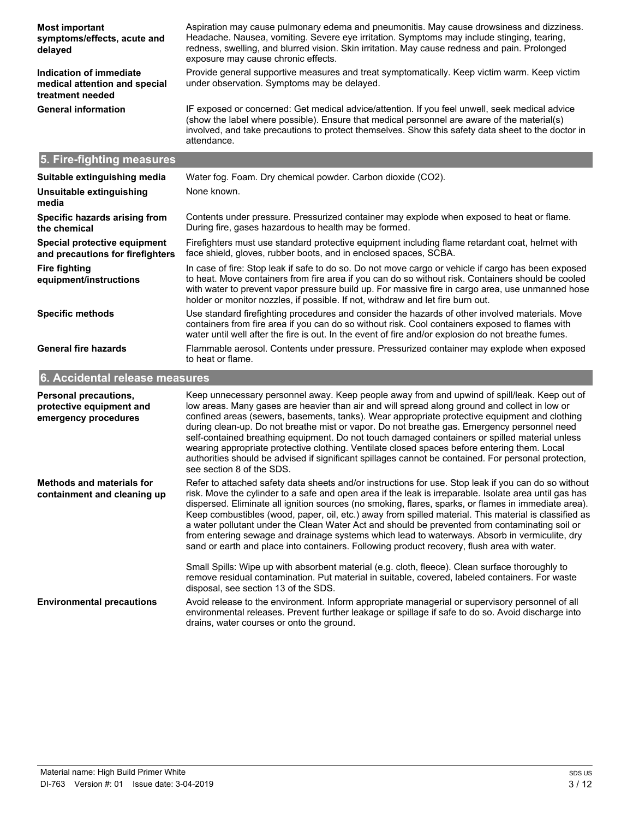| <b>Most important</b><br>symptoms/effects, acute and<br>delayed              | Aspiration may cause pulmonary edema and pneumonitis. May cause drowsiness and dizziness.<br>Headache. Nausea, vomiting. Severe eye irritation. Symptoms may include stinging, tearing,<br>redness, swelling, and blurred vision. Skin irritation. May cause redness and pain. Prolonged<br>exposure may cause chronic effects.                                                                  |
|------------------------------------------------------------------------------|--------------------------------------------------------------------------------------------------------------------------------------------------------------------------------------------------------------------------------------------------------------------------------------------------------------------------------------------------------------------------------------------------|
| Indication of immediate<br>medical attention and special<br>treatment needed | Provide general supportive measures and treat symptomatically. Keep victim warm. Keep victim<br>under observation. Symptoms may be delayed.                                                                                                                                                                                                                                                      |
| <b>General information</b>                                                   | IF exposed or concerned: Get medical advice/attention. If you feel unwell, seek medical advice<br>(show the label where possible). Ensure that medical personnel are aware of the material(s)<br>involved, and take precautions to protect themselves. Show this safety data sheet to the doctor in<br>attendance.                                                                               |
| 5. Fire-fighting measures                                                    |                                                                                                                                                                                                                                                                                                                                                                                                  |
| Suitable extinguishing media                                                 | Water fog. Foam. Dry chemical powder. Carbon dioxide (CO2).                                                                                                                                                                                                                                                                                                                                      |
| Unsuitable extinguishing<br>media                                            | None known.                                                                                                                                                                                                                                                                                                                                                                                      |
| Specific hazards arising from<br>the chemical                                | Contents under pressure. Pressurized container may explode when exposed to heat or flame.<br>During fire, gases hazardous to health may be formed.                                                                                                                                                                                                                                               |
| Special protective equipment<br>and precautions for firefighters             | Firefighters must use standard protective equipment including flame retardant coat, helmet with<br>face shield, gloves, rubber boots, and in enclosed spaces, SCBA.                                                                                                                                                                                                                              |
| <b>Fire fighting</b><br>equipment/instructions                               | In case of fire: Stop leak if safe to do so. Do not move cargo or vehicle if cargo has been exposed<br>to heat. Move containers from fire area if you can do so without risk. Containers should be cooled<br>with water to prevent vapor pressure build up. For massive fire in cargo area, use unmanned hose<br>holder or monitor nozzles, if possible. If not, withdraw and let fire burn out. |
| <b>Specific methods</b>                                                      | Use standard firefighting procedures and consider the hazards of other involved materials. Move<br>containers from fire area if you can do so without risk. Cool containers exposed to flames with<br>water until well after the fire is out. In the event of fire and/or explosion do not breathe fumes.                                                                                        |
| <b>General fire hazards</b>                                                  | Flammable aerosol. Contents under pressure. Pressurized container may explode when exposed                                                                                                                                                                                                                                                                                                       |

# **6. Accidental release measures**

to heat or flame.

| <b>Personal precautions,</b><br>protective equipment and<br>emergency procedures | Keep unnecessary personnel away. Keep people away from and upwind of spill/leak. Keep out of<br>low areas. Many gases are heavier than air and will spread along ground and collect in low or<br>confined areas (sewers, basements, tanks). Wear appropriate protective equipment and clothing<br>during clean-up. Do not breathe mist or vapor. Do not breathe gas. Emergency personnel need<br>self-contained breathing equipment. Do not touch damaged containers or spilled material unless<br>wearing appropriate protective clothing. Ventilate closed spaces before entering them. Local<br>authorities should be advised if significant spillages cannot be contained. For personal protection,<br>see section 8 of the SDS. |
|----------------------------------------------------------------------------------|--------------------------------------------------------------------------------------------------------------------------------------------------------------------------------------------------------------------------------------------------------------------------------------------------------------------------------------------------------------------------------------------------------------------------------------------------------------------------------------------------------------------------------------------------------------------------------------------------------------------------------------------------------------------------------------------------------------------------------------|
| Methods and materials for<br>containment and cleaning up                         | Refer to attached safety data sheets and/or instructions for use. Stop leak if you can do so without<br>risk. Move the cylinder to a safe and open area if the leak is irreparable. Isolate area until gas has<br>dispersed. Eliminate all ignition sources (no smoking, flares, sparks, or flames in immediate area).<br>Keep combustibles (wood, paper, oil, etc.) away from spilled material. This material is classified as<br>a water pollutant under the Clean Water Act and should be prevented from contaminating soil or<br>from entering sewage and drainage systems which lead to waterways. Absorb in vermiculite, dry<br>sand or earth and place into containers. Following product recovery, flush area with water.    |
|                                                                                  | Small Spills: Wipe up with absorbent material (e.g. cloth, fleece). Clean surface thoroughly to<br>remove residual contamination. Put material in suitable, covered, labeled containers. For waste<br>disposal, see section 13 of the SDS.                                                                                                                                                                                                                                                                                                                                                                                                                                                                                           |
| <b>Environmental precautions</b>                                                 | Avoid release to the environment. Inform appropriate managerial or supervisory personnel of all<br>environmental releases. Prevent further leakage or spillage if safe to do so. Avoid discharge into<br>drains, water courses or onto the ground.                                                                                                                                                                                                                                                                                                                                                                                                                                                                                   |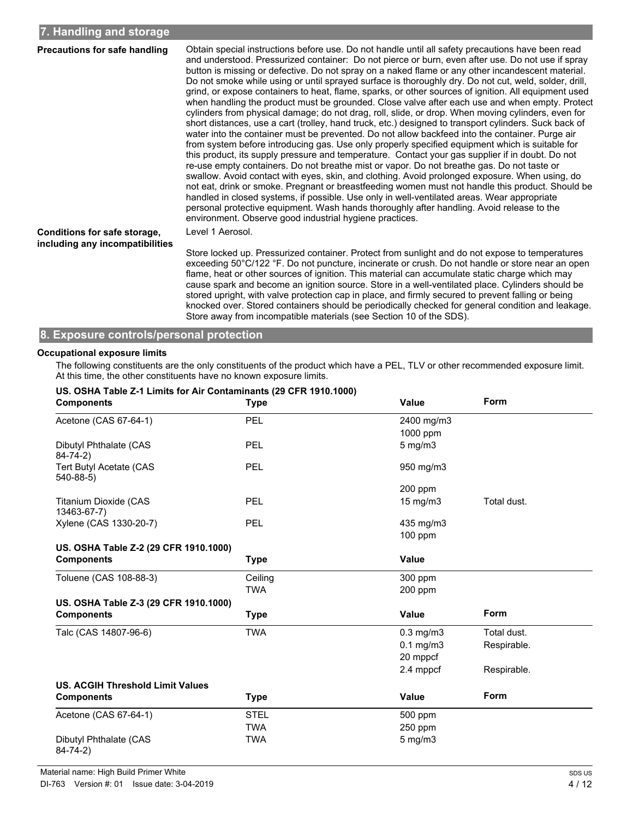| Precautions for safe handling                                   | Obtain special instructions before use. Do not handle until all safety precautions have been read<br>and understood. Pressurized container: Do not pierce or burn, even after use. Do not use if spray<br>button is missing or defective. Do not spray on a naked flame or any other incandescent material.<br>Do not smoke while using or until sprayed surface is thoroughly dry. Do not cut, weld, solder, drill,<br>grind, or expose containers to heat, flame, sparks, or other sources of ignition. All equipment used<br>when handling the product must be grounded. Close valve after each use and when empty. Protect<br>cylinders from physical damage; do not drag, roll, slide, or drop. When moving cylinders, even for<br>short distances, use a cart (trolley, hand truck, etc.) designed to transport cylinders. Suck back of<br>water into the container must be prevented. Do not allow backfeed into the container. Purge air<br>from system before introducing gas. Use only properly specified equipment which is suitable for<br>this product, its supply pressure and temperature. Contact your gas supplier if in doubt. Do not<br>re-use empty containers. Do not breathe mist or vapor. Do not breathe gas. Do not taste or<br>swallow. Avoid contact with eyes, skin, and clothing. Avoid prolonged exposure. When using, do<br>not eat, drink or smoke. Pregnant or breastfeeding women must not handle this product. Should be |
|-----------------------------------------------------------------|-------------------------------------------------------------------------------------------------------------------------------------------------------------------------------------------------------------------------------------------------------------------------------------------------------------------------------------------------------------------------------------------------------------------------------------------------------------------------------------------------------------------------------------------------------------------------------------------------------------------------------------------------------------------------------------------------------------------------------------------------------------------------------------------------------------------------------------------------------------------------------------------------------------------------------------------------------------------------------------------------------------------------------------------------------------------------------------------------------------------------------------------------------------------------------------------------------------------------------------------------------------------------------------------------------------------------------------------------------------------------------------------------------------------------------------------------------------|
|                                                                 | handled in closed systems, if possible. Use only in well-ventilated areas. Wear appropriate<br>personal protective equipment. Wash hands thoroughly after handling. Avoid release to the<br>environment. Observe good industrial hygiene practices.                                                                                                                                                                                                                                                                                                                                                                                                                                                                                                                                                                                                                                                                                                                                                                                                                                                                                                                                                                                                                                                                                                                                                                                                         |
| Conditions for safe storage,<br>including any incompatibilities | Level 1 Aerosol.                                                                                                                                                                                                                                                                                                                                                                                                                                                                                                                                                                                                                                                                                                                                                                                                                                                                                                                                                                                                                                                                                                                                                                                                                                                                                                                                                                                                                                            |
|                                                                 | Store locked up. Pressurized container. Protect from sunlight and do not expose to temperatures<br>exceeding 50°C/122 °F. Do not puncture, incinerate or crush. Do not handle or store near an open<br>flame, heat or other sources of ignition. This material can accumulate static charge which may<br>cause spark and become an ignition source. Store in a well-ventilated place. Cylinders should be<br>stored upright, with valve protection cap in place, and firmly secured to prevent falling or being                                                                                                                                                                                                                                                                                                                                                                                                                                                                                                                                                                                                                                                                                                                                                                                                                                                                                                                                             |

## **8. Exposure controls/personal protection**

#### **Occupational exposure limits**

The following constituents are the only constituents of the product which have a PEL, TLV or other recommended exposure limit. At this time, the other constituents have no known exposure limits.

Store away from incompatible materials (see Section 10 of the SDS).

knocked over. Stored containers should be periodically checked for general condition and leakage.

| US. OSHA Table Z-1 Limits for Air Contaminants (29 CFR 1910.1000)<br><b>Components</b> | <b>Type</b> | <b>Value</b>      | <b>Form</b> |
|----------------------------------------------------------------------------------------|-------------|-------------------|-------------|
| Acetone (CAS 67-64-1)                                                                  | PEL         | 2400 mg/m3        |             |
|                                                                                        |             | 1000 ppm          |             |
| Dibutyl Phthalate (CAS<br>$84 - 74 - 2)$                                               | PEL         | $5$ mg/m $3$      |             |
| Tert Butyl Acetate (CAS<br>$540-88-5$                                                  | PEL         | 950 mg/m3         |             |
|                                                                                        |             | 200 ppm           |             |
| <b>Titanium Dioxide (CAS</b><br>13463-67-7)                                            | PEL         | $15 \text{ mg/m}$ | Total dust. |
| Xylene (CAS 1330-20-7)                                                                 | PEL         | 435 mg/m3         |             |
|                                                                                        |             | 100 ppm           |             |
| US. OSHA Table Z-2 (29 CFR 1910.1000)                                                  |             |                   |             |
| <b>Components</b>                                                                      | <b>Type</b> | <b>Value</b>      |             |
| Toluene (CAS 108-88-3)                                                                 | Ceiling     | 300 ppm           |             |
|                                                                                        | <b>TWA</b>  | 200 ppm           |             |
| US. OSHA Table Z-3 (29 CFR 1910.1000)                                                  |             |                   |             |
| <b>Components</b>                                                                      | <b>Type</b> | <b>Value</b>      | <b>Form</b> |
| Talc (CAS 14807-96-6)                                                                  | <b>TWA</b>  | $0.3$ mg/m $3$    | Total dust. |
|                                                                                        |             | $0.1$ mg/m $3$    | Respirable. |
|                                                                                        |             | 20 mppcf          |             |
|                                                                                        |             | 2.4 mppcf         | Respirable. |
| <b>US. ACGIH Threshold Limit Values</b>                                                |             |                   |             |
| <b>Components</b>                                                                      | <b>Type</b> | <b>Value</b>      | Form        |
| Acetone (CAS 67-64-1)                                                                  | <b>STEL</b> | 500 ppm           |             |
|                                                                                        | <b>TWA</b>  | 250 ppm           |             |
| Dibutyl Phthalate (CAS<br>$84 - 74 - 2)$                                               | <b>TWA</b>  | $5$ mg/m $3$      |             |

## **US. OSHA Table Z-1 Limits for Air Contaminants (29 CFR 1910.1000)**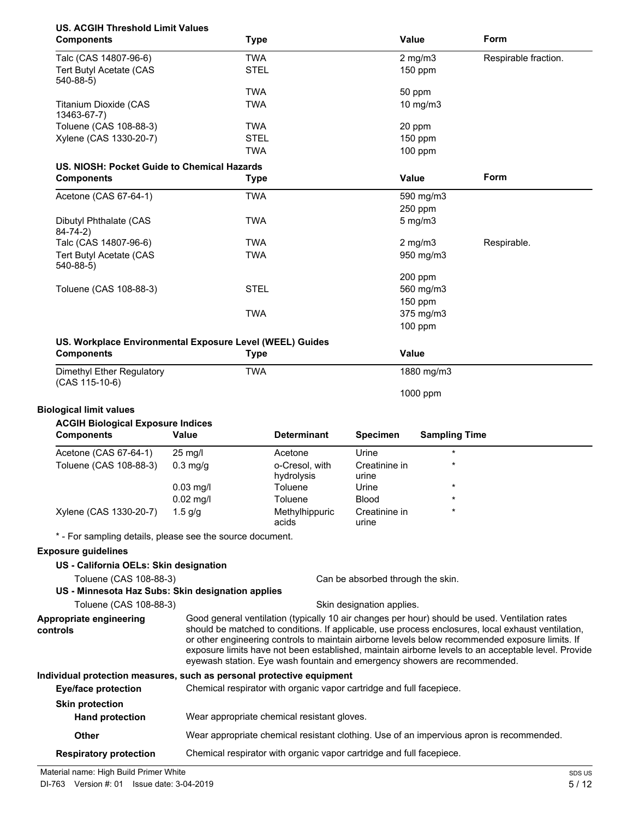| <b>US. ACGIH Threshold Limit Values</b><br><b>Components</b>                                    |             | <b>Type</b> |                                                                           |                                   | <b>Value</b>         | Form                                                                                                                                                                                                                                                                                                         |
|-------------------------------------------------------------------------------------------------|-------------|-------------|---------------------------------------------------------------------------|-----------------------------------|----------------------|--------------------------------------------------------------------------------------------------------------------------------------------------------------------------------------------------------------------------------------------------------------------------------------------------------------|
| Talc (CAS 14807-96-6)                                                                           |             | <b>TWA</b>  |                                                                           |                                   | $2$ mg/m $3$         | Respirable fraction.                                                                                                                                                                                                                                                                                         |
| Tert Butyl Acetate (CAS                                                                         |             | <b>STEL</b> |                                                                           |                                   | $150$ ppm            |                                                                                                                                                                                                                                                                                                              |
| $540-88-5$                                                                                      |             |             |                                                                           |                                   |                      |                                                                                                                                                                                                                                                                                                              |
|                                                                                                 |             | <b>TWA</b>  |                                                                           |                                   | 50 ppm               |                                                                                                                                                                                                                                                                                                              |
| <b>Titanium Dioxide (CAS</b>                                                                    |             | <b>TWA</b>  |                                                                           |                                   | 10 mg/m3             |                                                                                                                                                                                                                                                                                                              |
| 13463-67-7)                                                                                     |             |             |                                                                           |                                   |                      |                                                                                                                                                                                                                                                                                                              |
| Toluene (CAS 108-88-3)                                                                          |             | <b>TWA</b>  |                                                                           |                                   | 20 ppm               |                                                                                                                                                                                                                                                                                                              |
| Xylene (CAS 1330-20-7)                                                                          |             | <b>STEL</b> |                                                                           |                                   | 150 ppm              |                                                                                                                                                                                                                                                                                                              |
|                                                                                                 |             | <b>TWA</b>  |                                                                           |                                   | $100$ ppm            |                                                                                                                                                                                                                                                                                                              |
| US. NIOSH: Pocket Guide to Chemical Hazards                                                     |             |             |                                                                           |                                   |                      |                                                                                                                                                                                                                                                                                                              |
| <b>Components</b>                                                                               |             | <b>Type</b> |                                                                           |                                   | <b>Value</b>         | Form                                                                                                                                                                                                                                                                                                         |
| Acetone (CAS 67-64-1)                                                                           |             | <b>TWA</b>  |                                                                           |                                   | 590 mg/m3            |                                                                                                                                                                                                                                                                                                              |
|                                                                                                 |             |             |                                                                           |                                   | 250 ppm              |                                                                                                                                                                                                                                                                                                              |
| Dibutyl Phthalate (CAS                                                                          |             | <b>TWA</b>  |                                                                           |                                   | $5$ mg/m $3$         |                                                                                                                                                                                                                                                                                                              |
| $84 - 74 - 2)$                                                                                  |             |             |                                                                           |                                   |                      |                                                                                                                                                                                                                                                                                                              |
| Talc (CAS 14807-96-6)                                                                           |             | <b>TWA</b>  |                                                                           |                                   | $2$ mg/m $3$         | Respirable.                                                                                                                                                                                                                                                                                                  |
| Tert Butyl Acetate (CAS                                                                         |             | <b>TWA</b>  |                                                                           |                                   | 950 mg/m3            |                                                                                                                                                                                                                                                                                                              |
| $540-88-5$                                                                                      |             |             |                                                                           |                                   |                      |                                                                                                                                                                                                                                                                                                              |
|                                                                                                 |             |             |                                                                           |                                   | 200 ppm              |                                                                                                                                                                                                                                                                                                              |
| Toluene (CAS 108-88-3)                                                                          |             | <b>STEL</b> |                                                                           |                                   | 560 mg/m3            |                                                                                                                                                                                                                                                                                                              |
|                                                                                                 |             |             |                                                                           |                                   | 150 ppm              |                                                                                                                                                                                                                                                                                                              |
|                                                                                                 |             | <b>TWA</b>  |                                                                           |                                   | 375 mg/m3            |                                                                                                                                                                                                                                                                                                              |
|                                                                                                 |             |             |                                                                           |                                   | $100$ ppm            |                                                                                                                                                                                                                                                                                                              |
| US. Workplace Environmental Exposure Level (WEEL) Guides                                        |             |             |                                                                           |                                   |                      |                                                                                                                                                                                                                                                                                                              |
| <b>Components</b>                                                                               |             | <b>Type</b> |                                                                           |                                   | <b>Value</b>         |                                                                                                                                                                                                                                                                                                              |
| Dimethyl Ether Regulatory                                                                       |             | <b>TWA</b>  |                                                                           |                                   | 1880 mg/m3           |                                                                                                                                                                                                                                                                                                              |
| $(CAS 115-10-6)$                                                                                |             |             |                                                                           |                                   | 1000 ppm             |                                                                                                                                                                                                                                                                                                              |
| <b>Biological limit values</b><br><b>ACGIH Biological Exposure Indices</b><br><b>Components</b> | Value       |             | <b>Determinant</b>                                                        | <b>Specimen</b>                   | <b>Sampling Time</b> |                                                                                                                                                                                                                                                                                                              |
|                                                                                                 |             |             |                                                                           |                                   |                      |                                                                                                                                                                                                                                                                                                              |
| Acetone (CAS 67-64-1)                                                                           | 25 mg/l     |             | Acetone                                                                   | Urine                             |                      |                                                                                                                                                                                                                                                                                                              |
| Toluene (CAS 108-88-3)                                                                          | $0.3$ mg/g  |             | o-Cresol, with                                                            | Creatinine in                     |                      |                                                                                                                                                                                                                                                                                                              |
|                                                                                                 |             |             | hydrolysis                                                                | urine                             |                      |                                                                                                                                                                                                                                                                                                              |
|                                                                                                 | $0.03$ mg/l |             | Toluene                                                                   | Urine                             |                      |                                                                                                                                                                                                                                                                                                              |
|                                                                                                 | $0.02$ mg/l |             | Toluene                                                                   | Blood                             |                      |                                                                                                                                                                                                                                                                                                              |
| Xylene (CAS 1330-20-7)                                                                          | $1.5$ g/g   |             | Methylhippuric<br>acids                                                   | Creatinine in<br>urine            |                      |                                                                                                                                                                                                                                                                                                              |
|                                                                                                 |             |             |                                                                           |                                   |                      |                                                                                                                                                                                                                                                                                                              |
| * - For sampling details, please see the source document.                                       |             |             |                                                                           |                                   |                      |                                                                                                                                                                                                                                                                                                              |
| <b>Exposure guidelines</b>                                                                      |             |             |                                                                           |                                   |                      |                                                                                                                                                                                                                                                                                                              |
| US - California OELs: Skin designation                                                          |             |             |                                                                           |                                   |                      |                                                                                                                                                                                                                                                                                                              |
| Toluene (CAS 108-88-3)                                                                          |             |             |                                                                           | Can be absorbed through the skin. |                      |                                                                                                                                                                                                                                                                                                              |
| US - Minnesota Haz Subs: Skin designation applies                                               |             |             |                                                                           |                                   |                      |                                                                                                                                                                                                                                                                                                              |
| Toluene (CAS 108-88-3)                                                                          |             |             |                                                                           | Skin designation applies.         |                      |                                                                                                                                                                                                                                                                                                              |
| Appropriate engineering                                                                         |             |             |                                                                           |                                   |                      | Good general ventilation (typically 10 air changes per hour) should be used. Ventilation rates                                                                                                                                                                                                               |
| controls                                                                                        |             |             | eyewash station. Eye wash fountain and emergency showers are recommended. |                                   |                      | should be matched to conditions. If applicable, use process enclosures, local exhaust ventilation,<br>or other engineering controls to maintain airborne levels below recommended exposure limits. If<br>exposure limits have not been established, maintain airborne levels to an acceptable level. Provide |
| Individual protection measures, such as personal protective equipment                           |             |             |                                                                           |                                   |                      |                                                                                                                                                                                                                                                                                                              |
| <b>Eye/face protection</b>                                                                      |             |             | Chemical respirator with organic vapor cartridge and full facepiece.      |                                   |                      |                                                                                                                                                                                                                                                                                                              |
|                                                                                                 |             |             |                                                                           |                                   |                      |                                                                                                                                                                                                                                                                                                              |
|                                                                                                 |             |             |                                                                           |                                   |                      |                                                                                                                                                                                                                                                                                                              |
| <b>Skin protection</b>                                                                          |             |             |                                                                           |                                   |                      |                                                                                                                                                                                                                                                                                                              |
| <b>Hand protection</b>                                                                          |             |             | Wear appropriate chemical resistant gloves.                               |                                   |                      |                                                                                                                                                                                                                                                                                                              |
| Other                                                                                           |             |             |                                                                           |                                   |                      | Wear appropriate chemical resistant clothing. Use of an impervious apron is recommended.                                                                                                                                                                                                                     |

Material name: High Build Primer White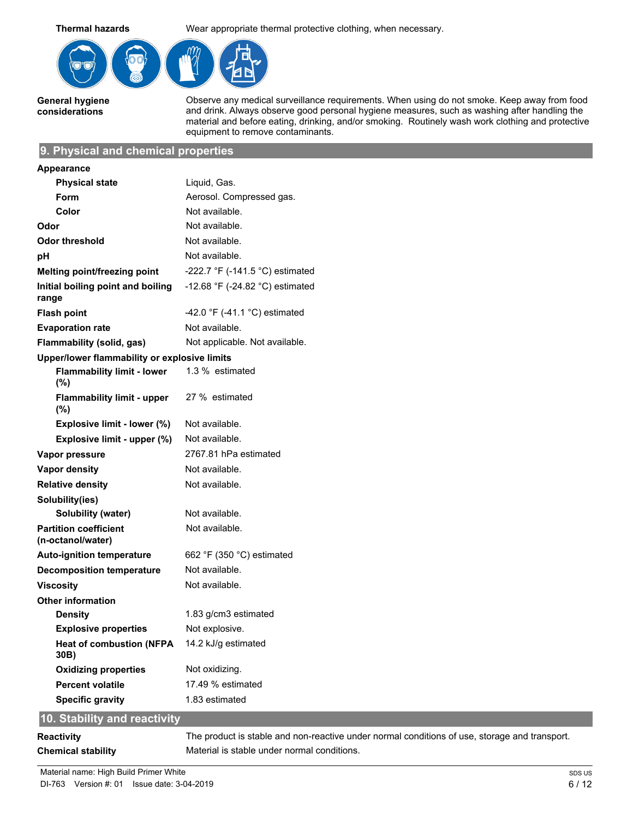**Thermal hazards** Wear appropriate thermal protective clothing, when necessary.



**General hygiene considerations**

Observe any medical surveillance requirements. When using do not smoke. Keep away from food and drink. Always observe good personal hygiene measures, such as washing after handling the material and before eating, drinking, and/or smoking. Routinely wash work clothing and protective equipment to remove contaminants.

#### **9. Physical and chemical properties**

| Appearance                                        |                                                   |
|---------------------------------------------------|---------------------------------------------------|
| <b>Physical state</b>                             | Liquid, Gas.                                      |
| Form                                              | Aerosol. Compressed gas.                          |
| Color                                             | Not available.                                    |
| Odor                                              | Not available.                                    |
| Odor threshold                                    | Not available.                                    |
| рH                                                | Not available.                                    |
| Melting point/freezing point                      | -222.7 $\degree$ F (-141.5 $\degree$ C) estimated |
| Initial boiling point and boiling<br>range        | -12.68 °F (-24.82 °C) estimated                   |
| <b>Flash point</b>                                | -42.0 $\degree$ F (-41.1 $\degree$ C) estimated   |
| <b>Evaporation rate</b>                           | Not available.                                    |
| Flammability (solid, gas)                         | Not applicable. Not available.                    |
| Upper/lower flammability or explosive limits      |                                                   |
| <b>Flammability limit - lower</b><br>(%)          | 1.3 % estimated                                   |
| <b>Flammability limit - upper</b><br>$(\%)$       | 27 % estimated                                    |
| Explosive limit - lower (%)                       | Not available.                                    |
| Explosive limit - upper (%)                       | Not available.                                    |
| Vapor pressure                                    | 2767.81 hPa estimated                             |
| <b>Vapor density</b>                              | Not available.                                    |
| <b>Relative density</b>                           | Not available.                                    |
| Solubility(ies)                                   |                                                   |
| Solubility (water)                                | Not available.                                    |
| <b>Partition coefficient</b><br>(n-octanol/water) | Not available.                                    |
| <b>Auto-ignition temperature</b>                  | 662 °F (350 °C) estimated                         |
| <b>Decomposition temperature</b>                  | Not available.                                    |
| <b>Viscosity</b>                                  | Not available.                                    |
| <b>Other information</b>                          |                                                   |
| <b>Density</b>                                    | 1.83 g/cm3 estimated                              |
| <b>Explosive properties</b>                       | Not explosive.                                    |
| <b>Heat of combustion (NFPA</b><br>30B)           | 14.2 kJ/g estimated                               |
| <b>Oxidizing properties</b>                       | Not oxidizing.                                    |
| <b>Percent volatile</b>                           | 17.49 % estimated                                 |
| <b>Specific gravity</b>                           | 1.83 estimated                                    |
| 10. Stability and reactivity                      |                                                   |

**Reactivity** The product is stable and non-reactive under normal conditions of use, storage and transport. **Chemical stability** Material is stable under normal conditions.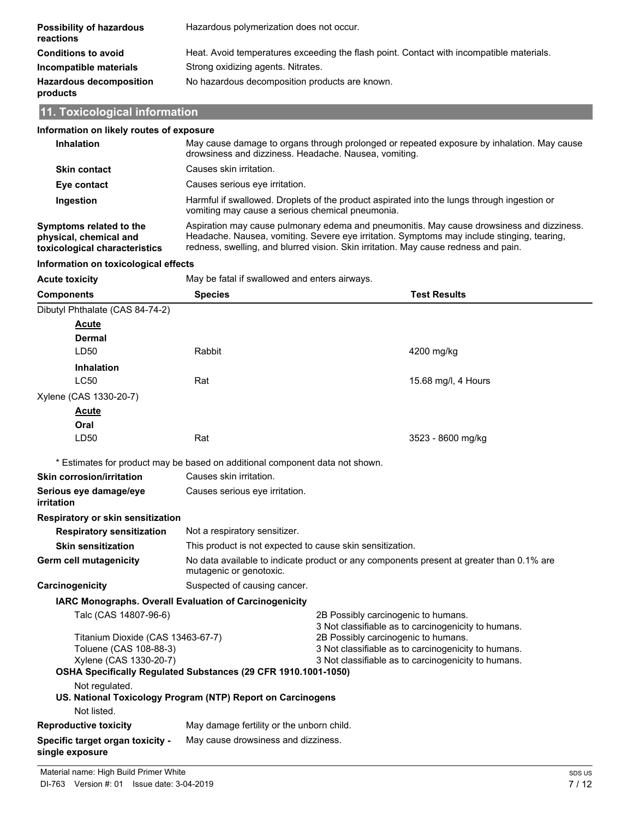| Possibility of hazardous<br>reactions      | Hazardous polymerization does not occur.                                                 |
|--------------------------------------------|------------------------------------------------------------------------------------------|
| <b>Conditions to avoid</b>                 | Heat. Avoid temperatures exceeding the flash point. Contact with incompatible materials. |
| Incompatible materials                     | Strong oxidizing agents. Nitrates.                                                       |
| <b>Hazardous decomposition</b><br>products | No hazardous decomposition products are known.                                           |

# **11. Toxicological information**

| Information on likely routes of exposure                                              |                                                                                                                                                                                                                                                                                |                                                                                             |  |
|---------------------------------------------------------------------------------------|--------------------------------------------------------------------------------------------------------------------------------------------------------------------------------------------------------------------------------------------------------------------------------|---------------------------------------------------------------------------------------------|--|
| Inhalation                                                                            | drowsiness and dizziness. Headache. Nausea, vomiting.                                                                                                                                                                                                                          | May cause damage to organs through prolonged or repeated exposure by inhalation. May cause  |  |
| <b>Skin contact</b>                                                                   | Causes skin irritation.                                                                                                                                                                                                                                                        |                                                                                             |  |
| Eye contact                                                                           | Causes serious eye irritation.                                                                                                                                                                                                                                                 |                                                                                             |  |
| Ingestion                                                                             | vomiting may cause a serious chemical pneumonia.                                                                                                                                                                                                                               | Harmful if swallowed. Droplets of the product aspirated into the lungs through ingestion or |  |
| Symptoms related to the<br>physical, chemical and<br>toxicological characteristics    | Aspiration may cause pulmonary edema and pneumonitis. May cause drowsiness and dizziness.<br>Headache. Nausea, vomiting. Severe eye irritation. Symptoms may include stinging, tearing,<br>redness, swelling, and blurred vision. Skin irritation. May cause redness and pain. |                                                                                             |  |
| Information on toxicological effects                                                  |                                                                                                                                                                                                                                                                                |                                                                                             |  |
| <b>Acute toxicity</b>                                                                 | May be fatal if swallowed and enters airways.                                                                                                                                                                                                                                  |                                                                                             |  |
| <b>Components</b>                                                                     | <b>Species</b>                                                                                                                                                                                                                                                                 | <b>Test Results</b>                                                                         |  |
| Dibutyl Phthalate (CAS 84-74-2)                                                       |                                                                                                                                                                                                                                                                                |                                                                                             |  |
| <u>Acute</u><br>Dermal                                                                |                                                                                                                                                                                                                                                                                |                                                                                             |  |
| LD50                                                                                  | Rabbit                                                                                                                                                                                                                                                                         | 4200 mg/kg                                                                                  |  |
| Inhalation                                                                            |                                                                                                                                                                                                                                                                                |                                                                                             |  |
| <b>LC50</b>                                                                           | Rat                                                                                                                                                                                                                                                                            | 15.68 mg/l, 4 Hours                                                                         |  |
| Xylene (CAS 1330-20-7)                                                                |                                                                                                                                                                                                                                                                                |                                                                                             |  |
| <b>Acute</b>                                                                          |                                                                                                                                                                                                                                                                                |                                                                                             |  |
| Oral                                                                                  |                                                                                                                                                                                                                                                                                |                                                                                             |  |
| LD50                                                                                  | Rat                                                                                                                                                                                                                                                                            | 3523 - 8600 mg/kg                                                                           |  |
|                                                                                       | * Estimates for product may be based on additional component data not shown.                                                                                                                                                                                                   |                                                                                             |  |
| <b>Skin corrosion/irritation</b>                                                      | Causes skin irritation.                                                                                                                                                                                                                                                        |                                                                                             |  |
| Serious eye damage/eye<br>irritation                                                  | Causes serious eye irritation.                                                                                                                                                                                                                                                 |                                                                                             |  |
| Respiratory or skin sensitization                                                     |                                                                                                                                                                                                                                                                                |                                                                                             |  |
| <b>Respiratory sensitization</b>                                                      | Not a respiratory sensitizer.                                                                                                                                                                                                                                                  |                                                                                             |  |
| <b>Skin sensitization</b>                                                             | This product is not expected to cause skin sensitization.                                                                                                                                                                                                                      |                                                                                             |  |
| <b>Germ cell mutagenicity</b>                                                         | mutagenic or genotoxic.                                                                                                                                                                                                                                                        | No data available to indicate product or any components present at greater than 0.1% are    |  |
| Carcinogenicity                                                                       | Suspected of causing cancer.                                                                                                                                                                                                                                                   |                                                                                             |  |
|                                                                                       | IARC Monographs. Overall Evaluation of Carcinogenicity                                                                                                                                                                                                                         |                                                                                             |  |
| Talc (CAS 14807-96-6)                                                                 |                                                                                                                                                                                                                                                                                | 2B Possibly carcinogenic to humans.<br>3 Not classifiable as to carcinogenicity to humans.  |  |
| Titanium Dioxide (CAS 13463-67-7)<br>Toluene (CAS 108-88-3)<br>Xylene (CAS 1330-20-7) | 2B Possibly carcinogenic to humans.<br>3 Not classifiable as to carcinogenicity to humans.<br>3 Not classifiable as to carcinogenicity to humans.                                                                                                                              |                                                                                             |  |
|                                                                                       | OSHA Specifically Regulated Substances (29 CFR 1910.1001-1050)                                                                                                                                                                                                                 |                                                                                             |  |
| Not regulated.                                                                        |                                                                                                                                                                                                                                                                                |                                                                                             |  |
|                                                                                       | US. National Toxicology Program (NTP) Report on Carcinogens                                                                                                                                                                                                                    |                                                                                             |  |
| Not listed.                                                                           |                                                                                                                                                                                                                                                                                |                                                                                             |  |
| <b>Reproductive toxicity</b>                                                          | May damage fertility or the unborn child.                                                                                                                                                                                                                                      |                                                                                             |  |
| Specific target organ toxicity -<br>single exposure                                   | May cause drowsiness and dizziness.                                                                                                                                                                                                                                            |                                                                                             |  |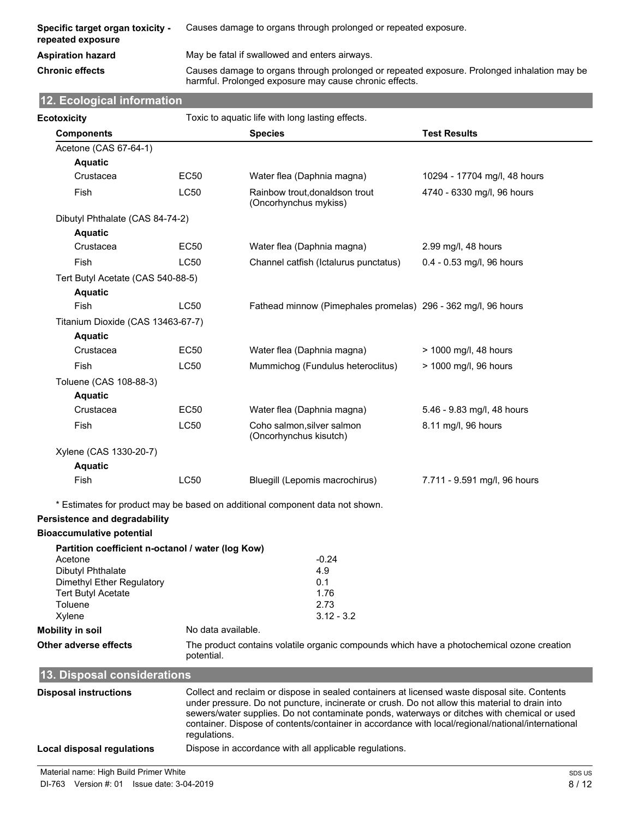| <b>Specific target organ toxicity -</b><br>repeated exposure | Causes damage to organs through prolonged or repeated exposure.                                                                                       |
|--------------------------------------------------------------|-------------------------------------------------------------------------------------------------------------------------------------------------------|
| Aspiration hazard                                            | May be fatal if swallowed and enters airways.                                                                                                         |
| Chronic effects                                              | Causes damage to organs through prolonged or repeated exposure. Prolonged inhalation may be<br>harmful. Prolonged exposure may cause chronic effects. |

# **12. Ecological information**

| <b>Ecotoxicity</b>                                           |             | Toxic to aquatic life with long lasting effects.                             |                              |
|--------------------------------------------------------------|-------------|------------------------------------------------------------------------------|------------------------------|
| <b>Components</b>                                            |             | <b>Species</b>                                                               | <b>Test Results</b>          |
| Acetone (CAS 67-64-1)                                        |             |                                                                              |                              |
| <b>Aquatic</b>                                               |             |                                                                              |                              |
| Crustacea                                                    | EC50        | Water flea (Daphnia magna)                                                   | 10294 - 17704 mg/l, 48 hours |
| Fish                                                         | LC50        | Rainbow trout, donaldson trout<br>(Oncorhynchus mykiss)                      | 4740 - 6330 mg/l, 96 hours   |
| Dibutyl Phthalate (CAS 84-74-2)                              |             |                                                                              |                              |
| <b>Aquatic</b>                                               |             |                                                                              |                              |
| Crustacea                                                    | <b>EC50</b> | Water flea (Daphnia magna)                                                   | 2.99 mg/l, 48 hours          |
| Fish                                                         | <b>LC50</b> | Channel catfish (Ictalurus punctatus)                                        | 0.4 - 0.53 mg/l, 96 hours    |
| Tert Butyl Acetate (CAS 540-88-5)                            |             |                                                                              |                              |
| <b>Aquatic</b>                                               |             |                                                                              |                              |
| Fish                                                         | <b>LC50</b> | Fathead minnow (Pimephales promelas) 296 - 362 mg/l, 96 hours                |                              |
| Titanium Dioxide (CAS 13463-67-7)                            |             |                                                                              |                              |
| <b>Aquatic</b>                                               |             |                                                                              |                              |
| Crustacea                                                    | EC50        | Water flea (Daphnia magna)                                                   | > 1000 mg/l, 48 hours        |
| Fish                                                         | <b>LC50</b> | Mummichog (Fundulus heteroclitus)                                            | > 1000 mg/l, 96 hours        |
| Toluene (CAS 108-88-3)                                       |             |                                                                              |                              |
| <b>Aquatic</b>                                               |             |                                                                              |                              |
| Crustacea                                                    | EC50        | Water flea (Daphnia magna)                                                   | 5.46 - 9.83 mg/l, 48 hours   |
| Fish                                                         | <b>LC50</b> | Coho salmon, silver salmon<br>(Oncorhynchus kisutch)                         | 8.11 mg/l, 96 hours          |
| Xylene (CAS 1330-20-7)                                       |             |                                                                              |                              |
| <b>Aquatic</b>                                               |             |                                                                              |                              |
| Fish                                                         | LC50        | Bluegill (Lepomis macrochirus)                                               | 7.711 - 9.591 mg/l, 96 hours |
|                                                              |             |                                                                              |                              |
|                                                              |             | * Estimates for product may be based on additional component data not shown. |                              |
| Persistence and degradability                                |             |                                                                              |                              |
| <b>Bioaccumulative potential</b>                             |             |                                                                              |                              |
| Partition coefficient n-octanol / water (log Kow)<br>Acetone |             | $-0.24$                                                                      |                              |
| Dibutyl Phthalate                                            |             | 4.9                                                                          |                              |
| Dimethyl Ether Regulatory                                    |             | 0.1                                                                          |                              |
| <b>Tert Butyl Acetate</b>                                    |             | 1.76                                                                         |                              |
| Toluene                                                      |             | 2.73                                                                         |                              |
| Xylene                                                       |             | $3.12 - 3.2$                                                                 |                              |

**Mobility in soil** No data available.

**Other adverse effects** The product contains volatile organic compounds which have a photochemical ozone creation potential.

| 13. Disposal considerations  |                                                                                                                                                                                                                                                                                                                                                                                                                     |  |  |
|------------------------------|---------------------------------------------------------------------------------------------------------------------------------------------------------------------------------------------------------------------------------------------------------------------------------------------------------------------------------------------------------------------------------------------------------------------|--|--|
| <b>Disposal instructions</b> | Collect and reclaim or dispose in sealed containers at licensed waste disposal site. Contents<br>under pressure. Do not puncture, incinerate or crush. Do not allow this material to drain into<br>sewers/water supplies. Do not contaminate ponds, waterways or ditches with chemical or used<br>container. Dispose of contents/container in accordance with local/regional/national/international<br>requlations. |  |  |
| Local disposal regulations   | Dispose in accordance with all applicable regulations.                                                                                                                                                                                                                                                                                                                                                              |  |  |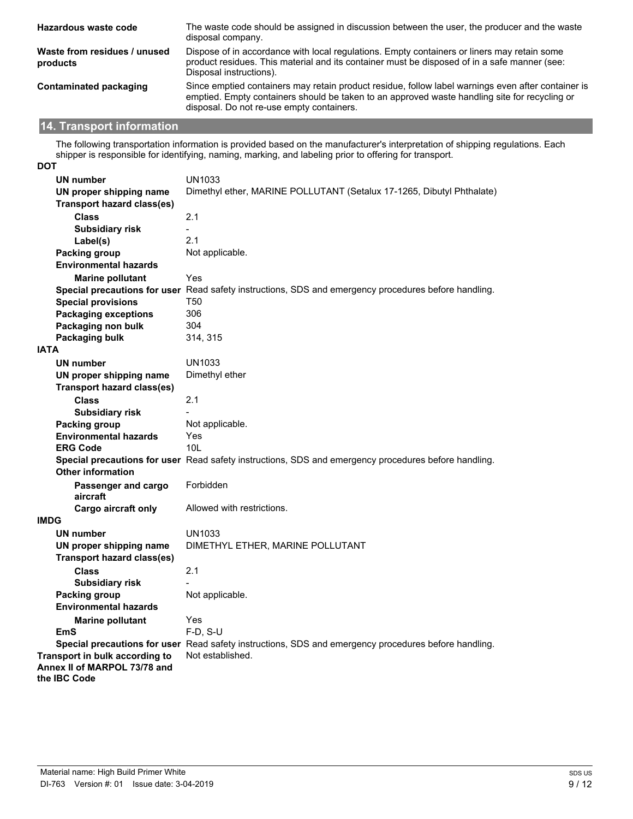| Hazardous waste code                     | The waste code should be assigned in discussion between the user, the producer and the waste<br>disposal company.                                                                                                                                |
|------------------------------------------|--------------------------------------------------------------------------------------------------------------------------------------------------------------------------------------------------------------------------------------------------|
| Waste from residues / unused<br>products | Dispose of in accordance with local regulations. Empty containers or liners may retain some<br>product residues. This material and its container must be disposed of in a safe manner (see:<br>Disposal instructions).                           |
| Contaminated packaging                   | Since emptied containers may retain product residue, follow label warnings even after container is<br>emptied. Empty containers should be taken to an approved waste handling site for recycling or<br>disposal. Do not re-use empty containers. |

# **14. Transport information**

The following transportation information is provided based on the manufacturer's interpretation of shipping regulations. Each shipper is responsible for identifying, naming, marking, and labeling prior to offering for transport.

| <b>DOT</b>                                   |                                                                                                      |
|----------------------------------------------|------------------------------------------------------------------------------------------------------|
| <b>UN number</b>                             | UN1033                                                                                               |
| UN proper shipping name                      | Dimethyl ether, MARINE POLLUTANT (Setalux 17-1265, Dibutyl Phthalate)                                |
| <b>Transport hazard class(es)</b>            |                                                                                                      |
| <b>Class</b>                                 | 2.1                                                                                                  |
| <b>Subsidiary risk</b>                       | $\sim$                                                                                               |
| Label(s)                                     | 2.1                                                                                                  |
| <b>Packing group</b>                         | Not applicable.                                                                                      |
| <b>Environmental hazards</b>                 |                                                                                                      |
| <b>Marine pollutant</b>                      | Yes                                                                                                  |
|                                              | Special precautions for user Read safety instructions, SDS and emergency procedures before handling. |
| <b>Special provisions</b>                    | T <sub>50</sub>                                                                                      |
| <b>Packaging exceptions</b>                  | 306                                                                                                  |
| Packaging non bulk                           | 304                                                                                                  |
| Packaging bulk                               | 314, 315                                                                                             |
| <b>IATA</b>                                  |                                                                                                      |
| <b>UN number</b>                             | UN1033                                                                                               |
| UN proper shipping name                      | Dimethyl ether                                                                                       |
| <b>Transport hazard class(es)</b>            |                                                                                                      |
| <b>Class</b>                                 | 2.1                                                                                                  |
| <b>Subsidiary risk</b>                       |                                                                                                      |
| Packing group                                | Not applicable.                                                                                      |
| <b>Environmental hazards</b>                 | Yes                                                                                                  |
| <b>ERG Code</b>                              | 10 <sub>L</sub>                                                                                      |
|                                              | Special precautions for user Read safety instructions, SDS and emergency procedures before handling. |
| <b>Other information</b>                     |                                                                                                      |
| Passenger and cargo                          | Forbidden                                                                                            |
| aircraft                                     |                                                                                                      |
| <b>Cargo aircraft only</b>                   | Allowed with restrictions.                                                                           |
| <b>IMDG</b>                                  |                                                                                                      |
| <b>UN number</b>                             | UN1033                                                                                               |
| UN proper shipping name                      | DIMETHYL ETHER, MARINE POLLUTANT                                                                     |
| <b>Transport hazard class(es)</b>            |                                                                                                      |
| <b>Class</b>                                 | 2.1                                                                                                  |
| <b>Subsidiary risk</b>                       |                                                                                                      |
| <b>Packing group</b>                         | Not applicable.                                                                                      |
| <b>Environmental hazards</b>                 |                                                                                                      |
| <b>Marine pollutant</b>                      | Yes                                                                                                  |
| <b>EmS</b>                                   | $F-D. S-U$                                                                                           |
|                                              | Special precautions for user Read safety instructions, SDS and emergency procedures before handling. |
| Transport in bulk according to               | Not established.                                                                                     |
| Annex II of MARPOL 73/78 and<br>the IBC Code |                                                                                                      |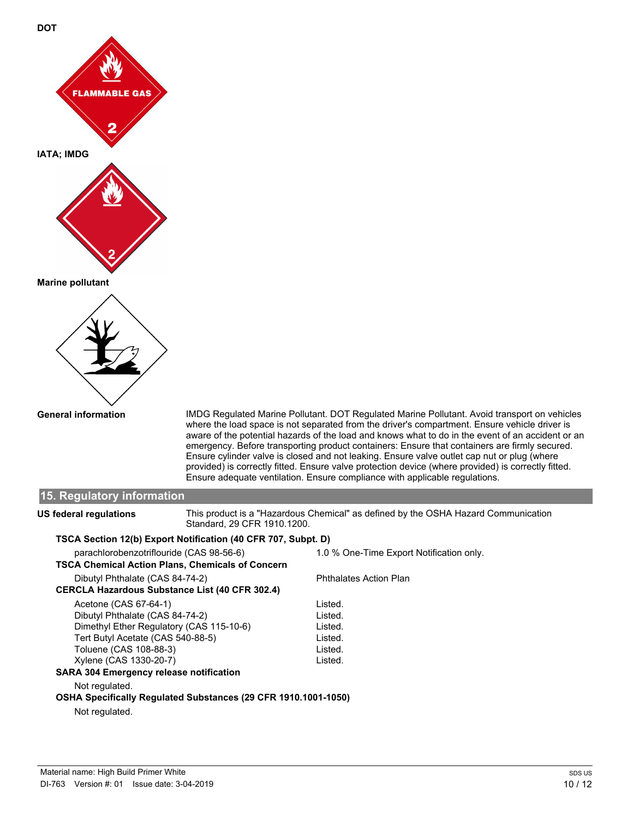

**General information**

IMDG Regulated Marine Pollutant. DOT Regulated Marine Pollutant. Avoid transport on vehicles where the load space is not separated from the driver's compartment. Ensure vehicle driver is aware of the potential hazards of the load and knows what to do in the event of an accident or an emergency. Before transporting product containers: Ensure that containers are firmly secured. Ensure cylinder valve is closed and not leaking. Ensure valve outlet cap nut or plug (where provided) is correctly fitted. Ensure valve protection device (where provided) is correctly fitted. Ensure adequate ventilation. Ensure compliance with applicable regulations.

#### **15. Regulatory information** This product is a "Hazardous Chemical" as defined by the OSHA Hazard Communication Standard, 29 CFR 1910.1200. **US federal regulations TSCA Section 12(b) Export Notification (40 CFR 707, Subpt. D)** parachlorobenzotriflouride (CAS 98-56-6) 1.0 % One-Time Export Notification only. **TSCA Chemical Action Plans, Chemicals of Concern** Dibutyl Phthalate (CAS 84-74-2) Phthalates Action Plan **CERCLA Hazardous Substance List (40 CFR 302.4)** Acetone (CAS 67-64-1) Listed. Dibutyl Phthalate (CAS 84-74-2) Listed.<br>Dimethyl Ether Regulatory (CAS 115-10-6) Listed. Dimethyl Ether Regulatory (CAS 115-10-6) Tert Butyl Acetate (CAS 540-88-5) Listed. Toluene (CAS 108-88-3) Listed. Xylene (CAS 1330-20-7) Listed. **SARA 304 Emergency release notification** Not regulated. **OSHA Specifically Regulated Substances (29 CFR 1910.1001-1050)**

Not regulated.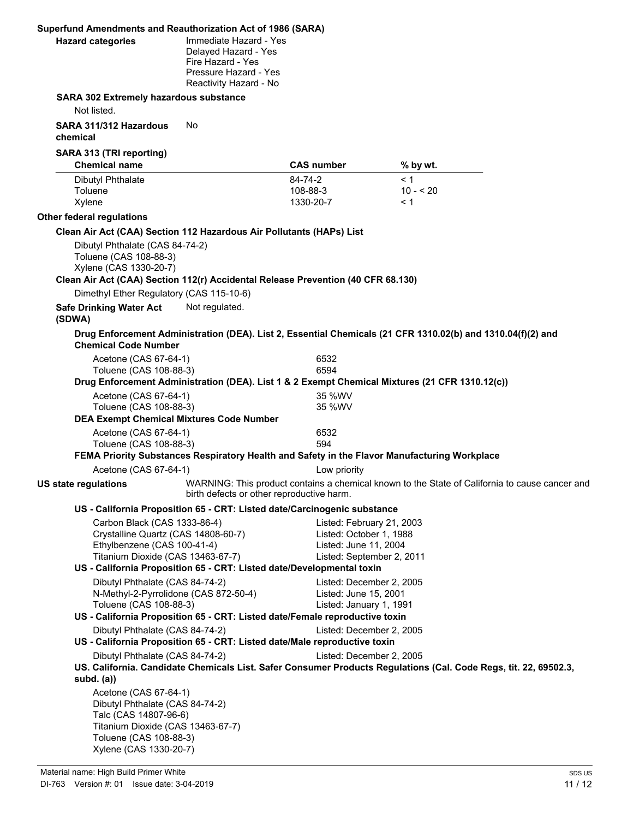|                                                  |                                                                                                                                                                            | Superfund Amendments and Reauthorization Act of 1986 (SARA)                                                            |                                                                                                            |                                                                                                                  |
|--------------------------------------------------|----------------------------------------------------------------------------------------------------------------------------------------------------------------------------|------------------------------------------------------------------------------------------------------------------------|------------------------------------------------------------------------------------------------------------|------------------------------------------------------------------------------------------------------------------|
| <b>Hazard categories</b>                         |                                                                                                                                                                            | Immediate Hazard - Yes<br>Delayed Hazard - Yes<br>Fire Hazard - Yes<br>Pressure Hazard - Yes<br>Reactivity Hazard - No |                                                                                                            |                                                                                                                  |
|                                                  | <b>SARA 302 Extremely hazardous substance</b>                                                                                                                              |                                                                                                                        |                                                                                                            |                                                                                                                  |
| Not listed.                                      |                                                                                                                                                                            |                                                                                                                        |                                                                                                            |                                                                                                                  |
| SARA 311/312 Hazardous<br>chemical               | No.                                                                                                                                                                        |                                                                                                                        |                                                                                                            |                                                                                                                  |
| SARA 313 (TRI reporting)<br><b>Chemical name</b> |                                                                                                                                                                            |                                                                                                                        | <b>CAS number</b>                                                                                          | % by wt.                                                                                                         |
| <b>Dibutyl Phthalate</b><br>Toluene<br>Xylene    |                                                                                                                                                                            |                                                                                                                        | 84-74-2<br>108-88-3<br>1330-20-7                                                                           | < 1<br>$10 - 520$<br>< 1                                                                                         |
| Other federal regulations                        |                                                                                                                                                                            |                                                                                                                        |                                                                                                            |                                                                                                                  |
|                                                  |                                                                                                                                                                            | Clean Air Act (CAA) Section 112 Hazardous Air Pollutants (HAPs) List                                                   |                                                                                                            |                                                                                                                  |
|                                                  | Dibutyl Phthalate (CAS 84-74-2)<br>Toluene (CAS 108-88-3)<br>Xylene (CAS 1330-20-7)                                                                                        |                                                                                                                        | Clean Air Act (CAA) Section 112(r) Accidental Release Prevention (40 CFR 68.130)                           |                                                                                                                  |
|                                                  | Dimethyl Ether Regulatory (CAS 115-10-6)                                                                                                                                   |                                                                                                                        |                                                                                                            |                                                                                                                  |
| <b>Safe Drinking Water Act</b><br>(SDWA)         |                                                                                                                                                                            | Not regulated.                                                                                                         |                                                                                                            |                                                                                                                  |
|                                                  | <b>Chemical Code Number</b>                                                                                                                                                |                                                                                                                        |                                                                                                            | Drug Enforcement Administration (DEA). List 2, Essential Chemicals (21 CFR 1310.02(b) and 1310.04(f)(2) and      |
|                                                  | Acetone (CAS 67-64-1)                                                                                                                                                      |                                                                                                                        | 6532                                                                                                       |                                                                                                                  |
|                                                  | Toluene (CAS 108-88-3)                                                                                                                                                     |                                                                                                                        | 6594                                                                                                       |                                                                                                                  |
|                                                  |                                                                                                                                                                            |                                                                                                                        |                                                                                                            | Drug Enforcement Administration (DEA). List 1 & 2 Exempt Chemical Mixtures (21 CFR 1310.12(c))                   |
|                                                  | Acetone (CAS 67-64-1)<br>Toluene (CAS 108-88-3)                                                                                                                            |                                                                                                                        | 35 %WV<br>35 %WV                                                                                           |                                                                                                                  |
|                                                  |                                                                                                                                                                            | <b>DEA Exempt Chemical Mixtures Code Number</b>                                                                        |                                                                                                            |                                                                                                                  |
|                                                  | Acetone (CAS 67-64-1)                                                                                                                                                      |                                                                                                                        | 6532                                                                                                       |                                                                                                                  |
|                                                  | Toluene (CAS 108-88-3)                                                                                                                                                     |                                                                                                                        | 594                                                                                                        |                                                                                                                  |
|                                                  |                                                                                                                                                                            |                                                                                                                        |                                                                                                            | FEMA Priority Substances Respiratory Health and Safety in the Flavor Manufacturing Workplace                     |
|                                                  | Acetone (CAS 67-64-1)                                                                                                                                                      |                                                                                                                        | Low priority                                                                                               |                                                                                                                  |
| US state regulations                             |                                                                                                                                                                            | birth defects or other reproductive harm.                                                                              |                                                                                                            | WARNING: This product contains a chemical known to the State of California to cause cancer and                   |
|                                                  |                                                                                                                                                                            |                                                                                                                        | US - California Proposition 65 - CRT: Listed date/Carcinogenic substance                                   |                                                                                                                  |
|                                                  | Carbon Black (CAS 1333-86-4)<br>Crystalline Quartz (CAS 14808-60-7)<br>Ethylbenzene (CAS 100-41-4)<br>Titanium Dioxide (CAS 13463-67-7)                                    |                                                                                                                        | Listed: February 21, 2003<br>Listed: October 1, 1988<br>Listed: June 11, 2004<br>Listed: September 2, 2011 |                                                                                                                  |
|                                                  |                                                                                                                                                                            |                                                                                                                        | US - California Proposition 65 - CRT: Listed date/Developmental toxin                                      |                                                                                                                  |
|                                                  | Dibutyl Phthalate (CAS 84-74-2)<br>N-Methyl-2-Pyrrolidone (CAS 872-50-4)<br>Toluene (CAS 108-88-3)                                                                         |                                                                                                                        | Listed: December 2, 2005<br>Listed: June 15, 2001<br>Listed: January 1, 1991                               |                                                                                                                  |
|                                                  | Dibutyl Phthalate (CAS 84-74-2)                                                                                                                                            |                                                                                                                        | US - California Proposition 65 - CRT: Listed date/Female reproductive toxin<br>Listed: December 2, 2005    |                                                                                                                  |
|                                                  |                                                                                                                                                                            |                                                                                                                        | US - California Proposition 65 - CRT: Listed date/Male reproductive toxin                                  |                                                                                                                  |
| subd. $(a)$                                      | Dibutyl Phthalate (CAS 84-74-2)                                                                                                                                            |                                                                                                                        | Listed: December 2, 2005                                                                                   | US. California. Candidate Chemicals List. Safer Consumer Products Regulations (Cal. Code Regs, tit. 22, 69502.3, |
|                                                  | Acetone (CAS 67-64-1)<br>Dibutyl Phthalate (CAS 84-74-2)<br>Talc (CAS 14807-96-6)<br>Titanium Dioxide (CAS 13463-67-7)<br>Toluene (CAS 108-88-3)<br>Xylene (CAS 1330-20-7) |                                                                                                                        |                                                                                                            |                                                                                                                  |